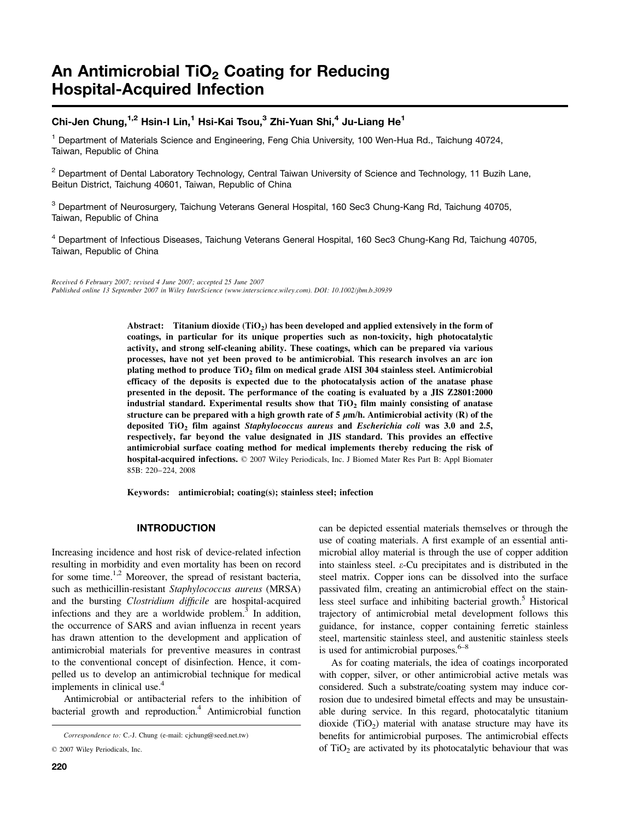# An Antimicrobial TiO<sub>2</sub> Coating for Reducing Hospital-Acquired Infection

## Chi-Jen Chung,<sup>1,2</sup> Hsin-I Lin,<sup>1</sup> Hsi-Kai Tsou,<sup>3</sup> Zhi-Yuan Shi,<sup>4</sup> Ju-Liang He<sup>1</sup>

<sup>1</sup> Department of Materials Science and Engineering, Feng Chia University, 100 Wen-Hua Rd., Taichung 40724, Taiwan, Republic of China

 $2$  Department of Dental Laboratory Technology, Central Taiwan University of Science and Technology, 11 Buzih Lane, Beitun District, Taichung 40601, Taiwan, Republic of China

<sup>3</sup> Department of Neurosurgery, Taichung Veterans General Hospital, 160 Sec3 Chung-Kang Rd, Taichung 40705, Taiwan, Republic of China

<sup>4</sup> Department of Infectious Diseases, Taichung Veterans General Hospital, 160 Sec3 Chung-Kang Rd, Taichung 40705, Taiwan, Republic of China

Received 6 February 2007; revised 4 June 2007; accepted 25 June 2007 Published online 13 September 2007 in Wiley InterScience (www.interscience.wiley.com). DOI: 10.1002/jbm.b.30939

> Abstract: Titanium dioxide  $(TiO<sub>2</sub>)$  has been developed and applied extensively in the form of coatings, in particular for its unique properties such as non-toxicity, high photocatalytic activity, and strong self-cleaning ability. These coatings, which can be prepared via various processes, have not yet been proved to be antimicrobial. This research involves an arc ion plating method to produce TiO2 film on medical grade AISI 304 stainless steel. Antimicrobial efficacy of the deposits is expected due to the photocatalysis action of the anatase phase presented in the deposit. The performance of the coating is evaluated by a JIS Z2801:2000 industrial standard. Experimental results show that  $TiO<sub>2</sub>$  film mainly consisting of anatase structure can be prepared with a high growth rate of 5  $\mu$ m/h. Antimicrobial activity (R) of the deposited  $TiO<sub>2</sub>$  film against Staphylococcus aureus and Escherichia coli was 3.0 and 2.5, respectively, far beyond the value designated in JIS standard. This provides an effective antimicrobial surface coating method for medical implements thereby reducing the risk of hospital-acquired infections.  $\oslash$  2007 Wiley Periodicals, Inc. J Biomed Mater Res Part B: Appl Biomater 85B: 220–224, 2008

Keywords: antimicrobial; coating(s); stainless steel; infection

### INTRODUCTION

Increasing incidence and host risk of device-related infection resulting in morbidity and even mortality has been on record for some time.<sup>1,2</sup> Moreover, the spread of resistant bacteria, such as methicillin-resistant Staphylococcus aureus (MRSA) and the bursting Clostridium difficile are hospital-acquired infections and they are a worldwide problem.<sup>3</sup> In addition, the occurrence of SARS and avian influenza in recent years has drawn attention to the development and application of antimicrobial materials for preventive measures in contrast to the conventional concept of disinfection. Hence, it compelled us to develop an antimicrobial technique for medical implements in clinical use.<sup>4</sup>

Antimicrobial or antibacterial refers to the inhibition of bacterial growth and reproduction.<sup>4</sup> Antimicrobial function

can be depicted essential materials themselves or through the use of coating materials. A first example of an essential antimicrobial alloy material is through the use of copper addition into stainless steel. e-Cu precipitates and is distributed in the steel matrix. Copper ions can be dissolved into the surface passivated film, creating an antimicrobial effect on the stainless steel surface and inhibiting bacterial growth.<sup>5</sup> Historical trajectory of antimicrobial metal development follows this guidance, for instance, copper containing ferretic stainless steel, martensitic stainless steel, and austenitic stainless steels is used for antimicrobial purposes. $6-8$ 

As for coating materials, the idea of coatings incorporated with copper, silver, or other antimicrobial active metals was considered. Such a substrate/coating system may induce corrosion due to undesired bimetal effects and may be unsustainable during service. In this regard, photocatalytic titanium dioxide  $(TiO<sub>2</sub>)$  material with anatase structure may have its benefits for antimicrobial purposes. The antimicrobial effects of  $TiO<sub>2</sub>$  are activated by its photocatalytic behaviour that was

Correspondence to: C.-J. Chung (e-mail: cjchung@seed.net.tw)

 $© 2007 Wiley Periodicals, Inc.$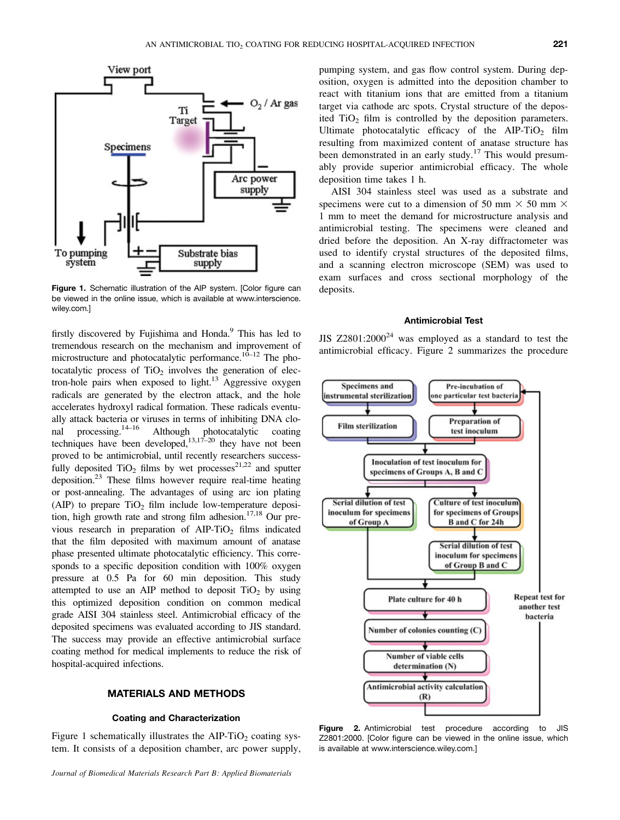

Figure 1. Schematic illustration of the AIP system. [Color figure can be viewed in the online issue, which is available at www.interscience. wiley.com.]

firstly discovered by Fujishima and Honda.<sup>9</sup> This has led to tremendous research on the mechanism and improvement of microstructure and photocatalytic performance.<sup>10–12</sup> The photocatalytic process of  $TiO<sub>2</sub>$  involves the generation of electron-hole pairs when exposed to light.<sup>13</sup> Aggressive oxygen radicals are generated by the electron attack, and the hole accelerates hydroxyl radical formation. These radicals eventually attack bacteria or viruses in terms of inhibiting DNA clonal processing.<sup>14–16</sup> Although photocatalytic coating techniques have been developed,  $13,17-20$  they have not been proved to be antimicrobial, until recently researchers successfully deposited  $TiO<sub>2</sub>$  films by wet processes<sup>21,22</sup> and sputter deposition.<sup>23</sup> These films however require real-time heating or post-annealing. The advantages of using arc ion plating (AIP) to prepare  $TiO<sub>2</sub>$  film include low-temperature deposition, high growth rate and strong film adhesion.<sup>17,18</sup> Our previous research in preparation of  $AIP-TiO<sub>2</sub>$  films indicated that the film deposited with maximum amount of anatase phase presented ultimate photocatalytic efficiency. This corresponds to a specific deposition condition with 100% oxygen pressure at 0.5 Pa for 60 min deposition. This study attempted to use an AIP method to deposit  $TiO<sub>2</sub>$  by using this optimized deposition condition on common medical grade AISI 304 stainless steel. Antimicrobial efficacy of the deposited specimens was evaluated according to JIS standard. The success may provide an effective antimicrobial surface coating method for medical implements to reduce the risk of hospital-acquired infections.

#### MATERIALS AND METHODS

#### Coating and Characterization

Figure 1 schematically illustrates the  $AIP-TiO<sub>2</sub>$  coating system. It consists of a deposition chamber, arc power supply, pumping system, and gas flow control system. During deposition, oxygen is admitted into the deposition chamber to react with titanium ions that are emitted from a titanium target via cathode arc spots. Crystal structure of the deposited  $TiO<sub>2</sub>$  film is controlled by the deposition parameters. Ultimate photocatalytic efficacy of the  $AIP-TiO<sub>2</sub>$  film resulting from maximized content of anatase structure has been demonstrated in an early study.<sup>17</sup> This would presumably provide superior antimicrobial efficacy. The whole deposition time takes 1 h.

AISI 304 stainless steel was used as a substrate and specimens were cut to a dimension of 50 mm  $\times$  50 mm  $\times$ 1 mm to meet the demand for microstructure analysis and antimicrobial testing. The specimens were cleaned and dried before the deposition. An X-ray diffractometer was used to identify crystal structures of the deposited films, and a scanning electron microscope (SEM) was used to exam surfaces and cross sectional morphology of the deposits.

#### Antimicrobial Test

JIS  $Z2801:2000^{24}$  was employed as a standard to test the antimicrobial efficacy. Figure 2 summarizes the procedure



Figure 2. Antimicrobial test procedure according to JIS Z2801:2000. [Color figure can be viewed in the online issue, which is available at www.interscience.wiley.com.]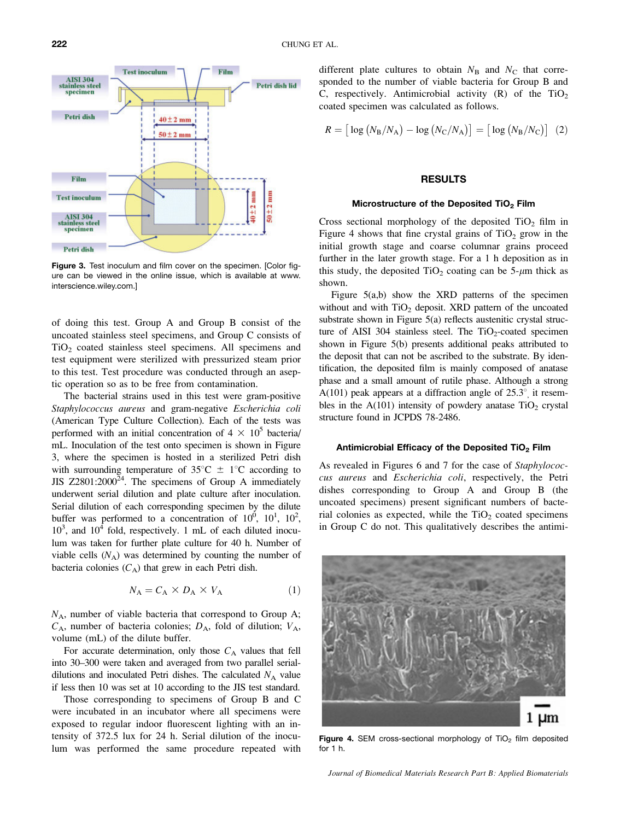

Figure 3. Test inoculum and film cover on the specimen. [Color figure can be viewed in the online issue, which is available at www. interscience.wiley.com.]

of doing this test. Group A and Group B consist of the uncoated stainless steel specimens, and Group C consists of TiO2 coated stainless steel specimens. All specimens and test equipment were sterilized with pressurized steam prior to this test. Test procedure was conducted through an aseptic operation so as to be free from contamination.

The bacterial strains used in this test were gram-positive Staphylococcus aureus and gram-negative Escherichia coli (American Type Culture Collection). Each of the tests was performed with an initial concentration of  $4 \times 10^5$  bacteria/ mL. Inoculation of the test onto specimen is shown in Figure 3, where the specimen is hosted in a sterilized Petri dish with surrounding temperature of  $35^{\circ}\text{C} \pm 1^{\circ}\text{C}$  according to JIS  $Z2801:2000^{24}$ . The specimens of Group A immediately underwent serial dilution and plate culture after inoculation. Serial dilution of each corresponding specimen by the dilute buffer was performed to a concentration of  $10^0$ ,  $10^1$ ,  $10^2$ ,  $10^3$ , and  $10^4$  fold, respectively. 1 mL of each diluted inoculum was taken for further plate culture for 40 h. Number of viable cells  $(N_A)$  was determined by counting the number of bacteria colonies  $(C_A)$  that grew in each Petri dish.

$$
N_{\rm A} = C_{\rm A} \times D_{\rm A} \times V_{\rm A} \tag{1}
$$

 $N_A$ , number of viable bacteria that correspond to Group A;  $C_A$ , number of bacteria colonies;  $D_A$ , fold of dilution;  $V_A$ , volume (mL) of the dilute buffer.

For accurate determination, only those  $C_A$  values that fell into 30–300 were taken and averaged from two parallel serialdilutions and inoculated Petri dishes. The calculated  $N_A$  value if less then 10 was set at 10 according to the JIS test standard.

Those corresponding to specimens of Group B and C were incubated in an incubator where all specimens were exposed to regular indoor fluorescent lighting with an intensity of 372.5 lux for 24 h. Serial dilution of the inoculum was performed the same procedure repeated with different plate cultures to obtain  $N_B$  and  $N_C$  that corresponded to the number of viable bacteria for Group B and C, respectively. Antimicrobial activity  $(R)$  of the TiO<sub>2</sub> coated specimen was calculated as follows.

$$
R = \left[ \log \left( N_{\rm B}/N_{\rm A} \right) - \log \left( N_{\rm C}/N_{\rm A} \right) \right] = \left[ \log \left( N_{\rm B}/N_{\rm C} \right) \right] \tag{2}
$$

#### RESULTS

#### Microstructure of the Deposited TiO<sub>2</sub> Film

Cross sectional morphology of the deposited  $TiO<sub>2</sub>$  film in Figure 4 shows that fine crystal grains of  $TiO<sub>2</sub>$  grow in the initial growth stage and coarse columnar grains proceed further in the later growth stage. For a 1 h deposition as in this study, the deposited  $TiO<sub>2</sub>$  coating can be 5- $\mu$ m thick as shown.

Figure 5(a,b) show the XRD patterns of the specimen without and with  $TiO<sub>2</sub>$  deposit. XRD pattern of the uncoated substrate shown in Figure 5(a) reflects austenitic crystal structure of AISI 304 stainless steel. The  $TiO<sub>2</sub>$ -coated specimen shown in Figure 5(b) presents additional peaks attributed to the deposit that can not be ascribed to the substrate. By identification, the deposited film is mainly composed of anatase phase and a small amount of rutile phase. Although a strong A(101) peak appears at a diffraction angle of  $25.3^{\circ}$  it resembles in the  $A(101)$  intensity of powdery anatase  $TiO<sub>2</sub>$  crystal structure found in JCPDS 78-2486.

#### Antimicrobial Efficacy of the Deposited TiO<sub>2</sub> Film

As revealed in Figures 6 and 7 for the case of Staphylococcus aureus and Escherichia coli, respectively, the Petri dishes corresponding to Group A and Group B (the uncoated specimens) present significant numbers of bacterial colonies as expected, while the  $TiO<sub>2</sub>$  coated specimens in Group C do not. This qualitatively describes the antimi-



Figure 4. SEM cross-sectional morphology of  $TiO<sub>2</sub>$  film deposited for 1 h.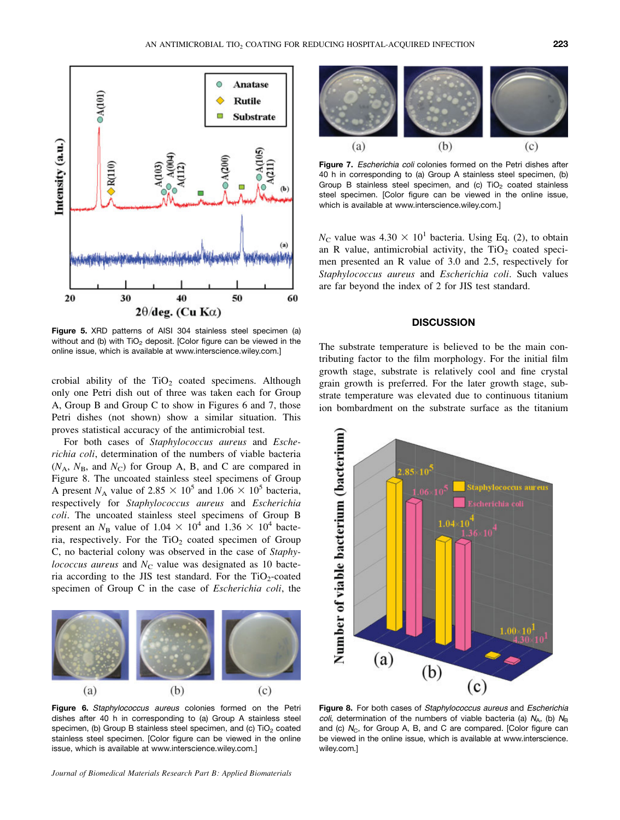

Figure 5. XRD patterns of AISI 304 stainless steel specimen (a) without and (b) with  $TiO<sub>2</sub>$  deposit. [Color figure can be viewed in the online issue, which is available at www.interscience.wiley.com.]

crobial ability of the  $TiO<sub>2</sub>$  coated specimens. Although only one Petri dish out of three was taken each for Group A, Group B and Group C to show in Figures 6 and 7, those Petri dishes (not shown) show a similar situation. This proves statistical accuracy of the antimicrobial test.

For both cases of Staphylococcus aureus and Escherichia coli, determination of the numbers of viable bacteria  $(N_A, N_B,$  and  $N_C)$  for Group A, B, and C are compared in Figure 8. The uncoated stainless steel specimens of Group A present  $N_A$  value of 2.85  $\times$  10<sup>5</sup> and 1.06  $\times$  10<sup>5</sup> bacteria, respectively for Staphylococcus aureus and Escherichia coli. The uncoated stainless steel specimens of Group B present an  $N_B$  value of 1.04  $\times$  10<sup>4</sup> and 1.36  $\times$  10<sup>4</sup> bacteria, respectively. For the  $TiO<sub>2</sub>$  coated specimen of Group C, no bacterial colony was observed in the case of Staphylococcus aureus and  $N<sub>C</sub>$  value was designated as 10 bacteria according to the JIS test standard. For the  $TiO<sub>2</sub>$ -coated specimen of Group C in the case of Escherichia coli, the



Figure 6. Staphylococcus aureus colonies formed on the Petri dishes after 40 h in corresponding to (a) Group A stainless steel specimen, (b) Group B stainless steel specimen, and (c)  $TiO<sub>2</sub>$  coated stainless steel specimen. [Color figure can be viewed in the online issue, which is available at www.interscience.wiley.com.]

Journal of Biomedical Materials Research Part B: Applied Biomaterials



Figure 7. Escherichia coli colonies formed on the Petri dishes after 40 h in corresponding to (a) Group A stainless steel specimen, (b) Group B stainless steel specimen, and (c)  $TiO<sub>2</sub>$  coated stainless steel specimen. [Color figure can be viewed in the online issue, which is available at www.interscience.wiley.com.]

 $N_{\rm C}$  value was 4.30  $\times$  10<sup>1</sup> bacteria. Using Eq. (2), to obtain an R value, antimicrobial activity, the  $TiO<sub>2</sub>$  coated specimen presented an R value of 3.0 and 2.5, respectively for Staphylococcus aureus and Escherichia coli. Such values are far beyond the index of 2 for JIS test standard.

#### **DISCUSSION**

The substrate temperature is believed to be the main contributing factor to the film morphology. For the initial film growth stage, substrate is relatively cool and fine crystal grain growth is preferred. For the later growth stage, substrate temperature was elevated due to continuous titanium ion bombardment on the substrate surface as the titanium



Figure 8. For both cases of Staphylococcus aureus and Escherichia coli, determination of the numbers of viable bacteria (a)  $N_A$ , (b)  $N_B$ and (c)  $N_c$ , for Group A, B, and C are compared. [Color figure can be viewed in the online issue, which is available at www.interscience. wiley.com.]